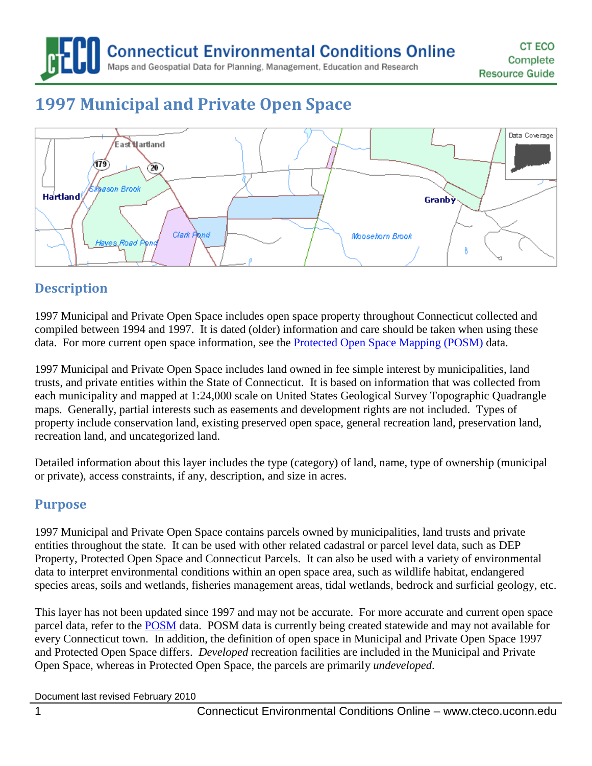**Connecticut Environmental Conditions Online** 

Maps and Geospatial Data for Planning, Management, Education and Research

# **1997 Municipal and Private Open Space**



## **Description**

1997 Municipal and Private Open Space includes open space property throughout Connecticut collected and compiled between 1994 and 1997. It is dated (older) information and care should be taken when using these data. For more current open space information, see the [Protected Open Space Mapping \(POSM\)](http://www.cteco.uconn.edu/guides/resource/CT_ECO_Resource_Guide_Protected_Open_Space.pdf) data.

1997 Municipal and Private Open Space includes land owned in fee simple interest by municipalities, land trusts, and private entities within the State of Connecticut. It is based on information that was collected from each municipality and mapped at 1:24,000 scale on United States Geological Survey Topographic Quadrangle maps. Generally, partial interests such as easements and development rights are not included. Types of property include conservation land, existing preserved open space, general recreation land, preservation land, recreation land, and uncategorized land.

Detailed information about this layer includes the type (category) of land, name, type of ownership (municipal or private), access constraints, if any, description, and size in acres.

## **Purpose**

1997 Municipal and Private Open Space contains parcels owned by municipalities, land trusts and private entities throughout the state. It can be used with other related cadastral or parcel level data, such as DEP Property, Protected Open Space and Connecticut Parcels. It can also be used with a variety of environmental data to interpret environmental conditions within an open space area, such as wildlife habitat, endangered species areas, soils and wetlands, fisheries management areas, tidal wetlands, bedrock and surficial geology, etc.

This layer has not been updated since 1997 and may not be accurate. For more accurate and current open space parcel data, refer to the [POSM](http://www.cteco.uconn.edu/guides/resource/CT_ECO_Resource_Guide_Protected_Open_Space.pdf) data. POSM data is currently being created statewide and may not available for every Connecticut town. In addition, the definition of open space in Municipal and Private Open Space 1997 and Protected Open Space differs. *Developed* recreation facilities are included in the Municipal and Private Open Space, whereas in Protected Open Space, the parcels are primarily *undeveloped*.

Document last revised February 2010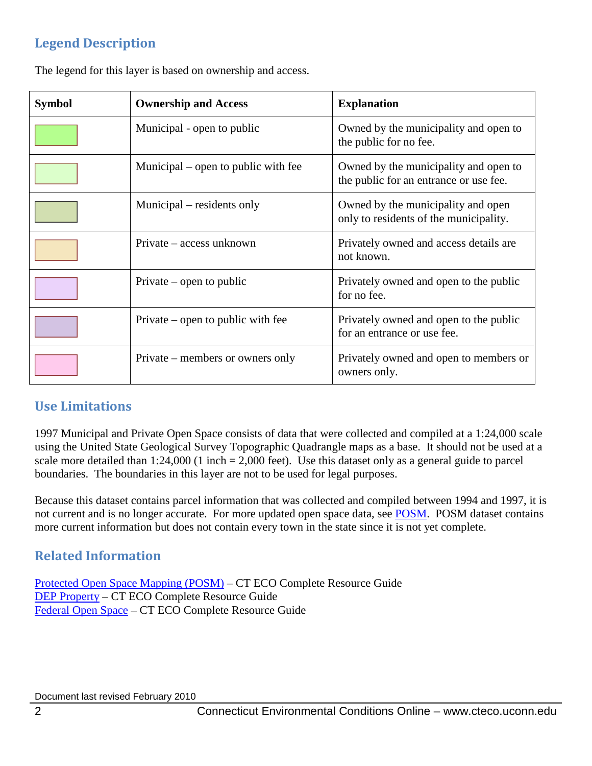# **Legend Description**

| <b>Symbol</b> | <b>Ownership and Access</b>         | <b>Explanation</b>                                                              |
|---------------|-------------------------------------|---------------------------------------------------------------------------------|
|               | Municipal - open to public          | Owned by the municipality and open to<br>the public for no fee.                 |
|               | Municipal – open to public with fee | Owned by the municipality and open to<br>the public for an entrance or use fee. |
|               | Municipal – residents only          | Owned by the municipality and open<br>only to residents of the municipality.    |
|               | Private – access unknown            | Privately owned and access details are<br>not known.                            |
|               | Private – open to public            | Privately owned and open to the public<br>for no fee.                           |
|               | Private – open to public with fee   | Privately owned and open to the public<br>for an entrance or use fee.           |
|               | Private – members or owners only    | Privately owned and open to members or<br>owners only.                          |

The legend for this layer is based on ownership and access.

# **Use Limitations**

1997 Municipal and Private Open Space consists of data that were collected and compiled at a 1:24,000 scale using the United State Geological Survey Topographic Quadrangle maps as a base. It should not be used at a scale more detailed than 1:24,000 (1 inch = 2,000 feet). Use this dataset only as a general guide to parcel boundaries. The boundaries in this layer are not to be used for legal purposes.

Because this dataset contains parcel information that was collected and compiled between 1994 and 1997, it is not current and is no longer accurate. For more updated open space data, see **POSM**. POSM dataset contains more current information but does not contain every town in the state since it is not yet complete.

## **Related Information**

[Protected Open Space Mapping \(POSM\)](http://cteco.uconn.edu/guides/resource/CT_ECO_Resource_Guide_Protected_Open_Space.pdf) – CT ECO Complete Resource Guide [DEP Property](http://cteco.uconn.edu/guides/resource/CT_ECO_Resource_Guide_DEP_Property.pdf) – CT ECO Complete Resource Guide [Federal Open Space](http://cteco.uconn.edu/guides/resource/CT_ECO_Resource_Guide_Federal_Open_Space.pdf) – CT ECO Complete Resource Guide

Document last revised February 2010